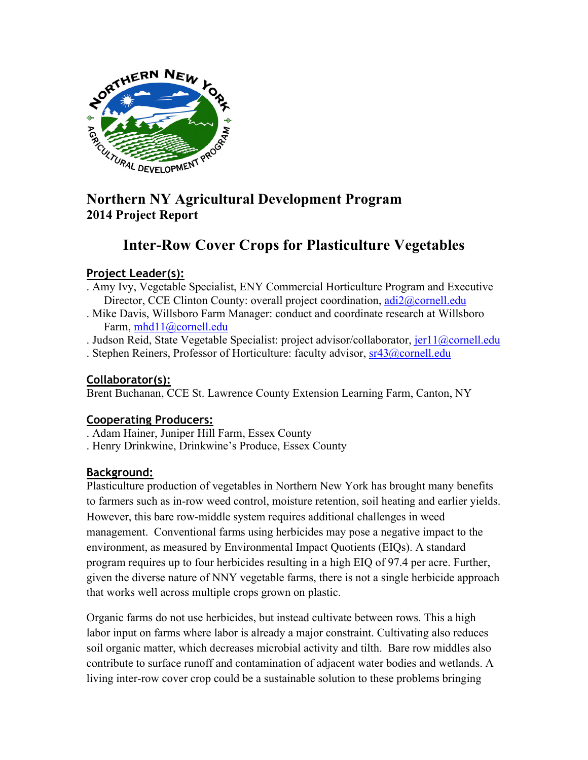

# **2014 Project Report**

# **Inter-Row Cover Crops for Plasticulture Vegetables**

# **Project Leader(s):**

- . Amy Ivy, Vegetable Specialist, ENY Commercial Horticulture Program and Executive Director, CCE Clinton County: overall project coordination, adi2@cornell.edu
- . Mike Davis, Willsboro Farm Manager: conduct and coordinate research at Willsboro Farm, mhd11@cornell.edu

. Judson Reid, State Vegetable Specialist: project advisor/collaborator,  $jer11@correll.edu$ . Stephen Reiners, Professor of Horticulture: faculty advisor, sr43@cornell.edu

# **Collaborator(s):**

Brent Buchanan, CCE St. Lawrence County Extension Learning Farm, Canton, NY

# **Cooperating Producers:**

- . Adam Hainer, Juniper Hill Farm, Essex County
- . Henry Drinkwine, Drinkwine's Produce, Essex County

# **Background:**

Plasticulture production of vegetables in Northern New York has brought many benefits to farmers such as in-row weed control, moisture retention, soil heating and earlier yields. However, this bare row-middle system requires additional challenges in weed management. Conventional farms using herbicides may pose a negative impact to the environment, as measured by Environmental Impact Quotients (EIQs). A standard program requires up to four herbicides resulting in a high EIQ of 97.4 per acre. Further, given the diverse nature of NNY vegetable farms, there is not a single herbicide approach that works well across multiple crops grown on plastic.

Organic farms do not use herbicides, but instead cultivate between rows. This a high labor input on farms where labor is already a major constraint. Cultivating also reduces soil organic matter, which decreases microbial activity and tilth. Bare row middles also contribute to surface runoff and contamination of adjacent water bodies and wetlands. A living inter-row cover crop could be a sustainable solution to these problems bringing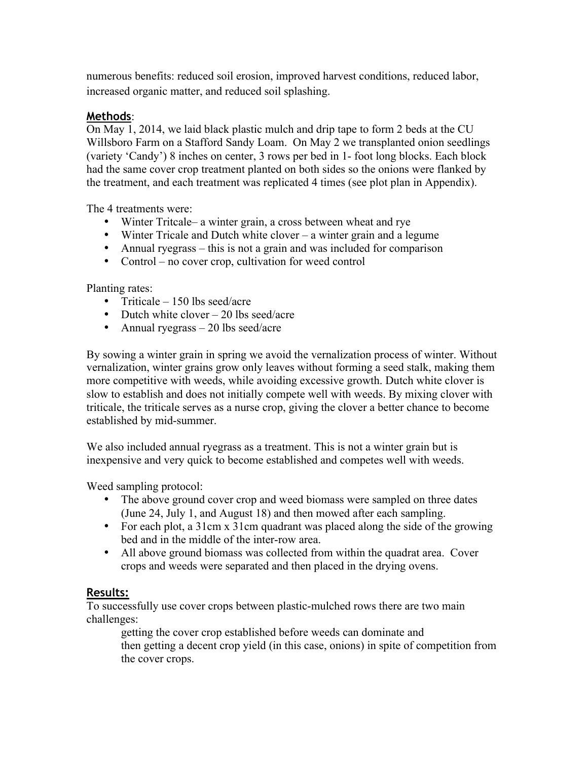numerous benefits: reduced soil erosion, improved harvest conditions, reduced labor, increased organic matter, and reduced soil splashing.

### **Methods**:

On May 1, 2014, we laid black plastic mulch and drip tape to form 2 beds at the CU Willsboro Farm on a Stafford Sandy Loam. On May 2 we transplanted onion seedlings (variety 'Candy') 8 inches on center, 3 rows per bed in 1- foot long blocks. Each block had the same cover crop treatment planted on both sides so the onions were flanked by the treatment, and each treatment was replicated 4 times (see plot plan in Appendix).

The 4 treatments were:

- Winter Tritcale– a winter grain, a cross between wheat and rye
- Winter Tricale and Dutch white clover a winter grain and a legume
- Annual ryegrass this is not a grain and was included for comparison
- Control no cover crop, cultivation for weed control

Planting rates:

- Triticale  $-150$  lbs seed/acre
- Dutch white clover 20 lbs seed/acre
- Annual ryegrass  $-20$  lbs seed/acre

By sowing a winter grain in spring we avoid the vernalization process of winter. Without vernalization, winter grains grow only leaves without forming a seed stalk, making them more competitive with weeds, while avoiding excessive growth. Dutch white clover is slow to establish and does not initially compete well with weeds. By mixing clover with triticale, the triticale serves as a nurse crop, giving the clover a better chance to become established by mid-summer.

We also included annual ryegrass as a treatment. This is not a winter grain but is inexpensive and very quick to become established and competes well with weeds.

Weed sampling protocol:

- The above ground cover crop and weed biomass were sampled on three dates (June 24, July 1, and August 18) and then mowed after each sampling.
- For each plot, a 31cm x 31cm quadrant was placed along the side of the growing bed and in the middle of the inter-row area.
- All above ground biomass was collected from within the quadrat area. Cover crops and weeds were separated and then placed in the drying ovens.

## **Results:**

To successfully use cover crops between plastic-mulched rows there are two main challenges:

getting the cover crop established before weeds can dominate and then getting a decent crop yield (in this case, onions) in spite of competition from the cover crops.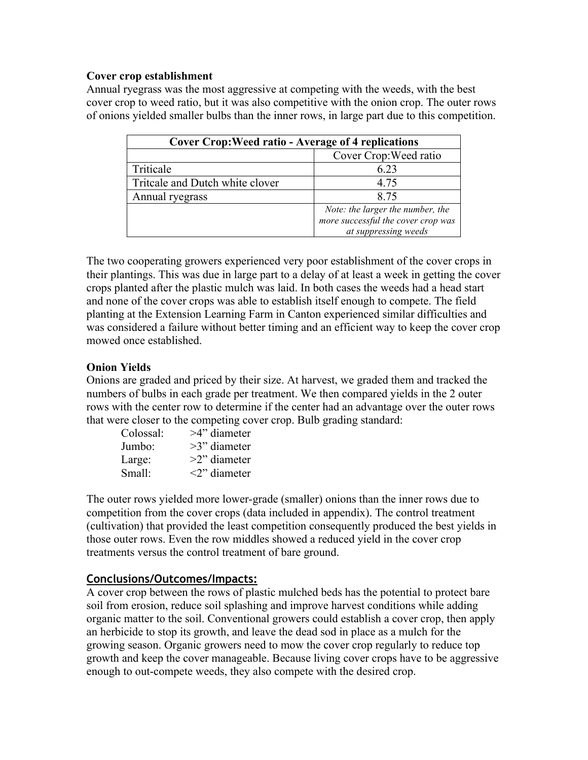#### **Cover crop establishment**

Annual ryegrass was the most aggressive at competing with the weeds, with the best cover crop to weed ratio, but it was also competitive with the onion crop. The outer rows of onions yielded smaller bulbs than the inner rows, in large part due to this competition.

| <b>Cover Crop: Weed ratio - Average of 4 replications</b> |                                    |
|-----------------------------------------------------------|------------------------------------|
|                                                           | Cover Crop: Weed ratio             |
| Triticale                                                 | 6.23                               |
| Tritcale and Dutch white clover                           | 4.75                               |
| Annual ryegrass                                           | 8.75                               |
|                                                           | Note: the larger the number, the   |
|                                                           | more successful the cover crop was |
|                                                           | at suppressing weeds               |

The two cooperating growers experienced very poor establishment of the cover crops in their plantings. This was due in large part to a delay of at least a week in getting the cover crops planted after the plastic mulch was laid. In both cases the weeds had a head start and none of the cover crops was able to establish itself enough to compete. The field planting at the Extension Learning Farm in Canton experienced similar difficulties and was considered a failure without better timing and an efficient way to keep the cover crop mowed once established.

#### **Onion Yields**

Onions are graded and priced by their size. At harvest, we graded them and tracked the numbers of bulbs in each grade per treatment. We then compared yields in the 2 outer rows with the center row to determine if the center had an advantage over the outer rows that were closer to the competing cover crop. Bulb grading standard:

| Colossal: | $>4$ " diameter              |
|-----------|------------------------------|
| Jumbo:    | $>3$ " diameter              |
| Large:    | $>2$ " diameter              |
| Small:    | $\langle 2 \rangle$ diameter |
|           |                              |

The outer rows yielded more lower-grade (smaller) onions than the inner rows due to competition from the cover crops (data included in appendix). The control treatment (cultivation) that provided the least competition consequently produced the best yields in those outer rows. Even the row middles showed a reduced yield in the cover crop treatments versus the control treatment of bare ground.

#### **Conclusions/Outcomes/Impacts:**

A cover crop between the rows of plastic mulched beds has the potential to protect bare soil from erosion, reduce soil splashing and improve harvest conditions while adding organic matter to the soil. Conventional growers could establish a cover crop, then apply an herbicide to stop its growth, and leave the dead sod in place as a mulch for the growing season. Organic growers need to mow the cover crop regularly to reduce top growth and keep the cover manageable. Because living cover crops have to be aggressive enough to out-compete weeds, they also compete with the desired crop.